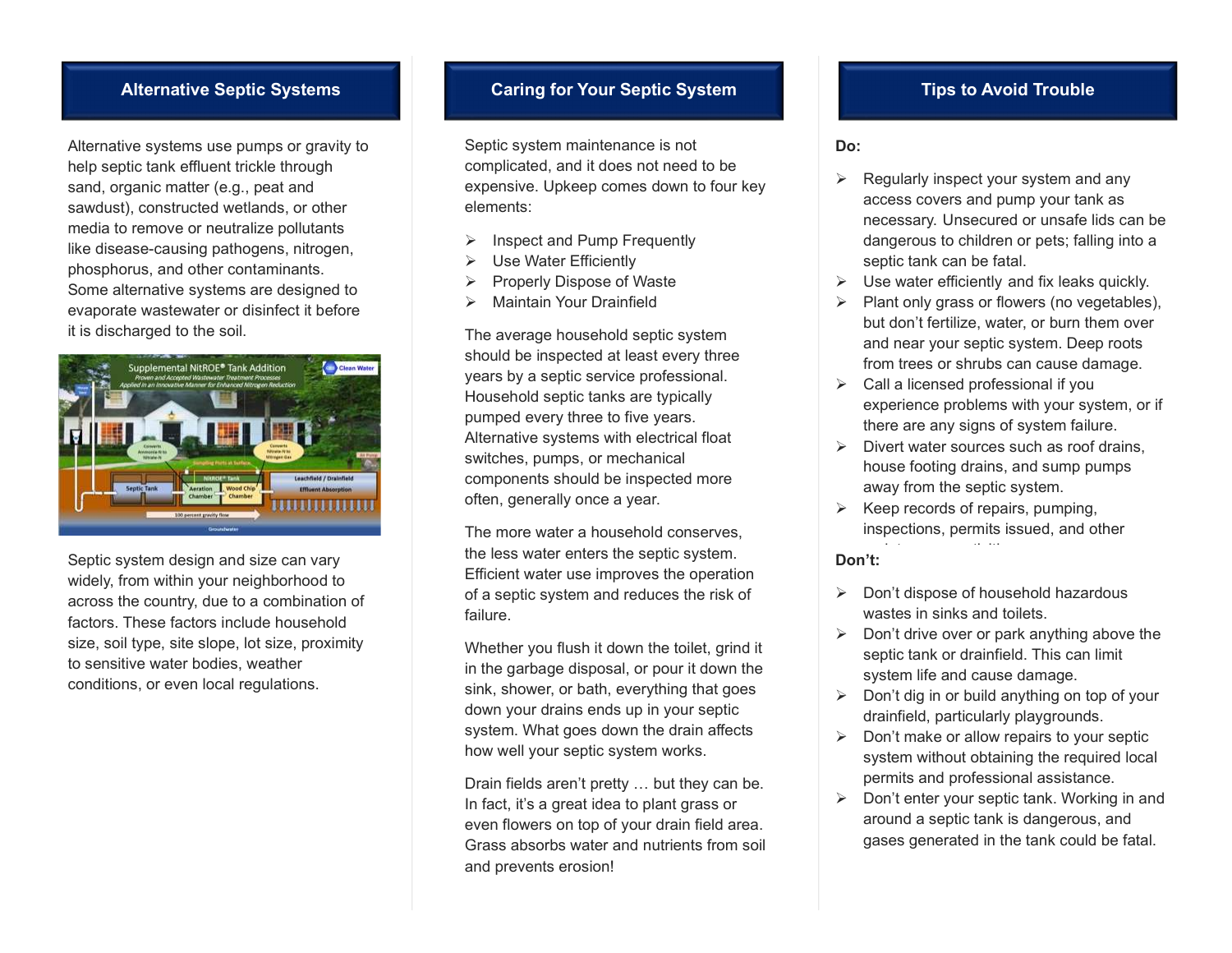Alternative systems use pumps or gravity to help septic tank effluent trickle through sand, organic matter (e.g., peat and sawdust), constructed wetlands, or other media to remove or neutralize pollutants like disease-causing pathogens, nitrogen, phosphorus, and other contaminants. Some alternative systems are designed to evaporate wastewater or disinfect it before it is discharged to the soil.



Septic system design and size can vary widely, from within your neighborhood to across the country, due to a combination of factors. These factors include household size, soil type, site slope, lot size, proximity to sensitive water bodies, weather conditions, or even local regulations.

## Alternative Septic Systems **Caring for Your Septic System** Tips to Avoid Trouble

Septic system maintenance is not complicated, and it does not need to be expensive. Upkeep comes down to four key elements:

- Inspect and Pump Frequently
- Use Water Efficiently
- Properly Dispose of Waste
- > Maintain Your Drainfield

The average household septic system should be inspected at least every three years by a septic service professional. Household septic tanks are typically pumped every three to five years. Alternative systems with electrical float switches, pumps, or mechanical components should be inspected more often, generally once a year.

The more water a household conserves, the less water enters the septic system. Efficient water use improves the operation of a septic system and reduces the risk of failure.

Whether you flush it down the toilet, grind it in the garbage disposal, or pour it down the sink, shower, or bath, everything that goes down your drains ends up in your septic system. What goes down the drain affects how well your septic system works.

Drain fields aren't pretty … but they can be. In fact, it's a great idea to plant grass or even flowers on top of your drain field area. Grass absorbs water and nutrients from soil and prevents erosion!

## Do:

- Regularly inspect your system and any access covers and pump your tank as necessary. Unsecured or unsafe lids can be dangerous to children or pets; falling into a septic tank can be fatal.
- $\triangleright$  Use water efficiently and fix leaks quickly.
- $\triangleright$  Plant only grass or flowers (no vegetables), but don't fertilize, water, or burn them over and near your septic system. Deep roots from trees or shrubs can cause damage.
- $\triangleright$  Call a licensed professional if you experience problems with your system, or if there are any signs of system failure.
- $\triangleright$  Divert water sources such as roof drains, house footing drains, and sump pumps away from the septic system.
- Keep records of repairs, pumping, inspections, permits issued, and other

## Don't:

- $\triangleright$  Don't dispose of household hazardous wastes in sinks and toilets.
- $\triangleright$  Don't drive over or park anything above the septic tank or drainfield. This can limit system life and cause damage.
- $\triangleright$  Don't dig in or build anything on top of your drainfield, particularly playgrounds.
- $\geqslant$  Don't make or allow repairs to your septic system without obtaining the required local permits and professional assistance.
- $\triangleright$  Don't enter your septic tank. Working in and around a septic tank is dangerous, and gases generated in the tank could be fatal.